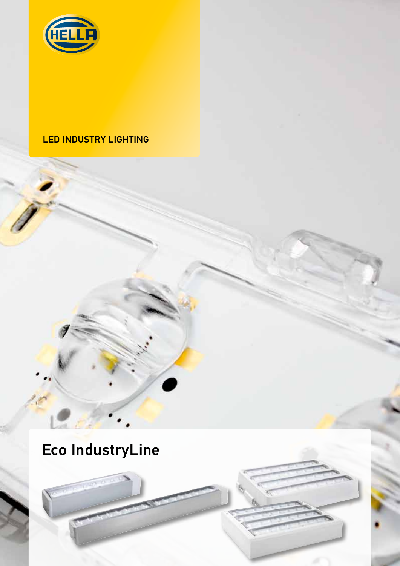

# **LED INDUSTRY LIGHTING**

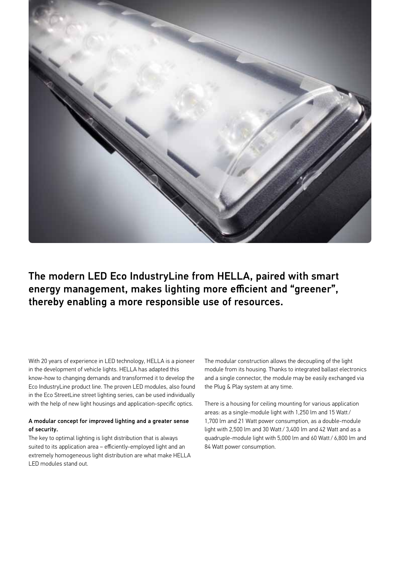

The modern LED Eco IndustryLine from HELLA, paired with smart energy management, makes lighting more efficient and "greener", thereby enabling a more responsible use of resources.

With 20 years of experience in LED technology, HELLA is a pioneer in the development of vehicle lights. HELLA has adapted this know-how to changing demands and transformed it to develop the Eco IndustryLine product line. The proven LED modules, also found in the Eco StreetLine street lighting series, can be used individually with the help of new light housings and application-specific optics.

### A modular concept for improved lighting and a greater sense of security.

The key to optimal lighting is light distribution that is always suited to its application area – efficiently-employed light and an extremely homogeneous light distribution are what make HELLA LED modules stand out.

The modular construction allows the decoupling of the light module from its housing. Thanks to integrated ballast electronics and a single connector, the module may be easily exchanged via the Plug & Play system at any time.

There is a housing for ceiling mounting for various application areas: as a single-module light with 1,250 lm and 15 Watt / 1,700 lm and 21 Watt power consumption, as a double-module light with 2,500 lm and 30 Watt / 3,400 lm and 42 Watt and as a quadruple-module light with 5,000 lm and 60 Watt / 6,800 lm and 84 Watt power consumption.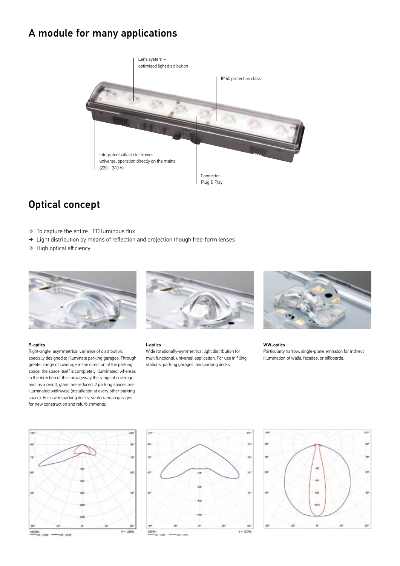# A module for many applications



# Optical concept

- $\rightarrow$  To capture the entire LED luminous flux
- → Light distribution by means of reflection and projection though free-form lenses
- ➔ High optical efficiency



#### P-optics

Right-angle, asymmetrical variance of distribution, specially designed to illuminate parking garages. Through greater range of coverage in the direction of the parking space, the space itself is completely illuminated, whereas in the direction of the carriageway the range of coverage and, as a result, glare, are reduced. 2 parking spaces are illuminated widthwise (installation at every other parking space). For use in parking decks, subterranean garages – for new construction and refurbishments.



#### I-optics

Wide rotationally-symmetrical light distribution for multifunctional, universal application. For use in filling stations, parking garages, and parking decks.



#### WW-optics

Particularly narrow, single-plane emission for indirect illumination of walls, facades, or billboards.





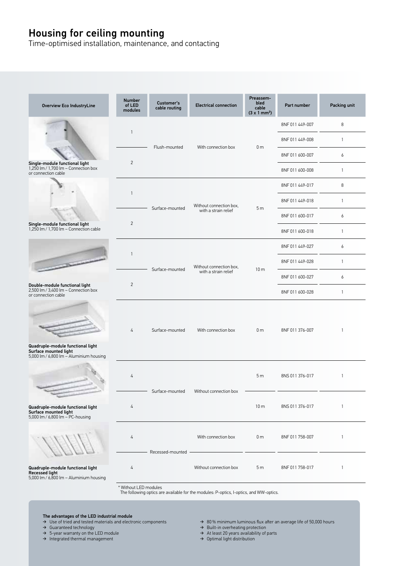### Housing for ceiling mounting

Time-optimised installation, maintenance, and contacting

| <b>Overview Eco IndustryLine</b>                                                                                                                                                                                       | <b>Number</b><br>of LED<br>modules | Customer's<br>cable routing | <b>Electrical connection</b>                    | Preassem-<br>bled<br>cable<br>(3 x 1 mm <sup>2</sup> ) | Part number     | Packing unit |
|------------------------------------------------------------------------------------------------------------------------------------------------------------------------------------------------------------------------|------------------------------------|-----------------------------|-------------------------------------------------|--------------------------------------------------------|-----------------|--------------|
| Single-module functional light<br>1,250 lm / 1,700 lm - Connection box<br>or connection cable                                                                                                                          |                                    |                             | With connection box                             | 0 <sub>m</sub>                                         | 8NF 011 449-007 | 8            |
|                                                                                                                                                                                                                        | $\overline{1}$                     | Flush-mounted               |                                                 |                                                        | 8NF 011 449-008 | $\mathbf{1}$ |
|                                                                                                                                                                                                                        | $\overline{2}$                     |                             |                                                 |                                                        | 8NF 011 600-007 | 6            |
|                                                                                                                                                                                                                        |                                    |                             |                                                 |                                                        | 8NF 011 600-008 | $\mathbf{1}$ |
| Single-module functional light<br>1,250 lm / 1,700 lm - Connection cable                                                                                                                                               | $\mathbf{1}$                       | Surface-mounted             | Without connection box,<br>with a strain relief | 5m                                                     | 8NF 011 449-017 | 8            |
|                                                                                                                                                                                                                        |                                    |                             |                                                 |                                                        | 8NF 011 449-018 | $\mathbf{1}$ |
|                                                                                                                                                                                                                        | $\overline{2}$                     |                             |                                                 |                                                        | 8NF 011 600-017 | 6            |
|                                                                                                                                                                                                                        |                                    |                             |                                                 |                                                        | 8NF 011 600-018 | 1            |
| <b>Contract Contract of Contract Contract Contract Contract Contract Contract Contract Contract Contract Contract</b><br>Double-module functional light<br>2,500 lm / 3,400 lm - Connection box<br>or connection cable | $\overline{1}$<br>$\overline{2}$   | Surface-mounted             | Without connection box,<br>with a strain relief | 10 <sub>m</sub>                                        | 8NF 011 449-027 | 6            |
|                                                                                                                                                                                                                        |                                    |                             |                                                 |                                                        | 8NF 011 449-028 | 1            |
|                                                                                                                                                                                                                        |                                    |                             |                                                 |                                                        | 8NF 011 600-027 | 6            |
|                                                                                                                                                                                                                        |                                    |                             |                                                 |                                                        | 8NF 011 600-028 | $\mathbf{1}$ |
| Quadruple-module functional light<br>Surface mounted light                                                                                                                                                             | 4                                  | Surface-mounted             | With connection box                             | 0 <sub>m</sub>                                         | 8NF 011 376-007 | $\mathbf{1}$ |
| 5,000 lm / 6,800 lm - Aluminium housing                                                                                                                                                                                | 4                                  | Surface-mounted             | Without connection box                          | 5 <sub>m</sub>                                         | 8NS 011 376-017 | $\mathbf{1}$ |
| Quadruple-module functional light<br>Surface mounted light<br>5,000 lm / 6,800 lm - PC-housing                                                                                                                         | 4                                  |                             |                                                 | 10 <sub>m</sub>                                        | 8NS 011 376-017 | 1            |
|                                                                                                                                                                                                                        | 4                                  | Recessed-mounted            | With connection box                             | 0 <sub>m</sub>                                         | 8NF 011 758-007 | $\mathbf{1}$ |
| Quadruple-module functional light<br><b>Recessed light</b><br>5,000 lm / 6,800 lm - Aluminium housing                                                                                                                  | 4<br>* Without LED modules         |                             | Without connection box                          | 5m                                                     | 8NF 011 758-017 | $\mathbf{1}$ |

### The advantages of the LED industrial module

 $\rightarrow$  Use of tried and tested materials and electronic components

 $\rightarrow$  Guaranteed technology

 $\rightarrow$  5-year warranty on the LED module

 $\rightarrow$  Integrated thermal management

 $\rightarrow$   $\,$  80 % minimum luminous flux after an average life of 50,000 hours

 $\rightarrow$  Built-in overheating protection

 $\rightarrow$  At least 20 years availability of parts

 $\rightarrow$  Optimal light distribution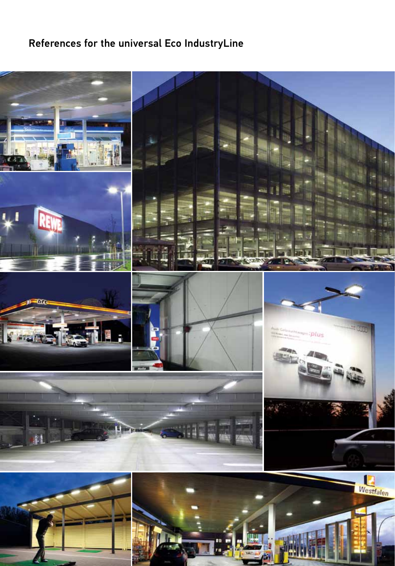# References for the universal Eco IndustryLine